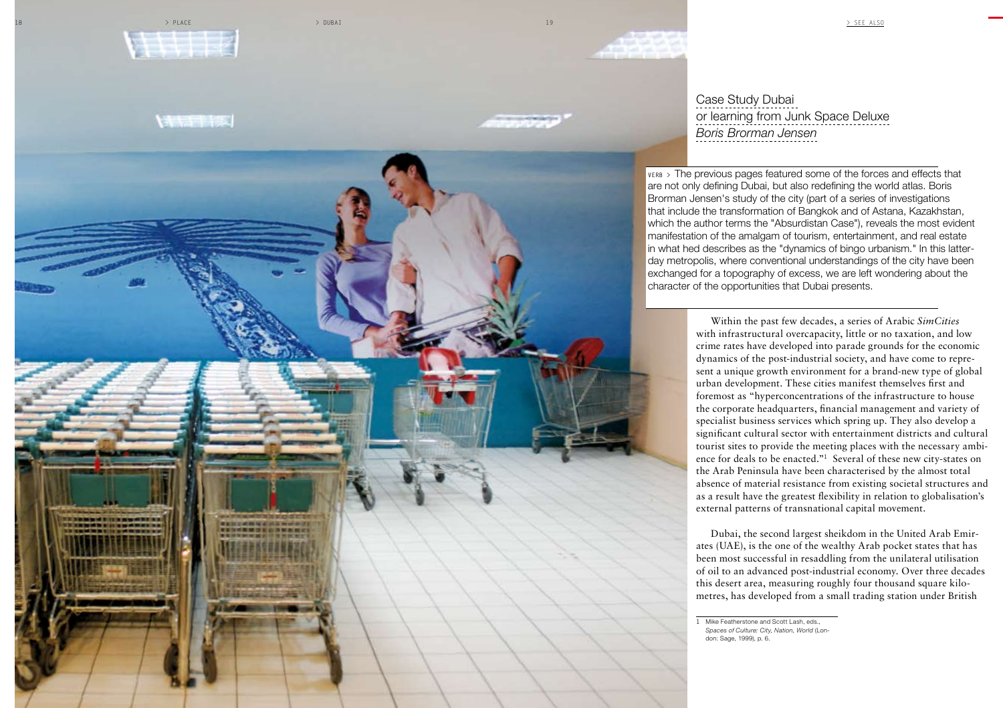

 $\rightarrow$  place  $\rightarrow$  dubai  $\rightarrow$  dubai 19  $\rightarrow$  see also

**NHITE** 

Case Study Dubai or learning from Junk Space Deluxe *Boris Brorman Jensen*

**VERB** > The previous pages featured some of the forces and effects that are not only defining Dubai, but also redefining the world atlas. Boris Brorman Jensen's study of the city (part of a series of investigations that include the transformation of Bangkok and of Astana, Kazakhstan, which the author terms the "Absurdistan Case"), reveals the most evident manifestation of the amalgam of tourism, entertainment, and real estate in what hed describes as the "dynamics of bingo urbanism." In this latterday metropolis, where conventional understandings of the city have been exchanged for a topography of excess, we are left wondering about the character of the opportunities that Dubai presents.

> Within the past few decades, a series of Arabic *SimCities* with infrastructural overcapacity, little or no taxation, and low crime rates have developed into parade grounds for the economic dynamics of the post-industrial society, and have come to represent a unique growth environment for a brand-new type of global urban development. These cities manifest themselves first and foremost as "hyperconcentrations of the infrastructure to house the corporate headquarters, financial management and variety of specialist business services which spring up. They also develop a significant cultural sector with entertainment districts and cultural tourist sites to provide the meeting places with the necessary ambience for deals to be enacted."**1** Several of these new city-states on the Arab Peninsula have been characterised by the almost total absence of material resistance from existing societal structures and as a result have the greatest flexibility in relation to globalisation's external patterns of transnational capital movement.

> Dubai, the second largest sheikdom in the United Arab Emirates (UAE), is the one of the wealthy Arab pocket states that has been most successful in resaddling from the unilateral utilisation of oil to an advanced post-industrial economy. Over three decades this desert area, measuring roughly four thousand square kilometres, has developed from a small trading station under British

**1** Mike Featherstone and Scott Lash, eds., *Spaces of Culture: City, Nation, World* (Lon-

don: Sage, 1999), p. 6.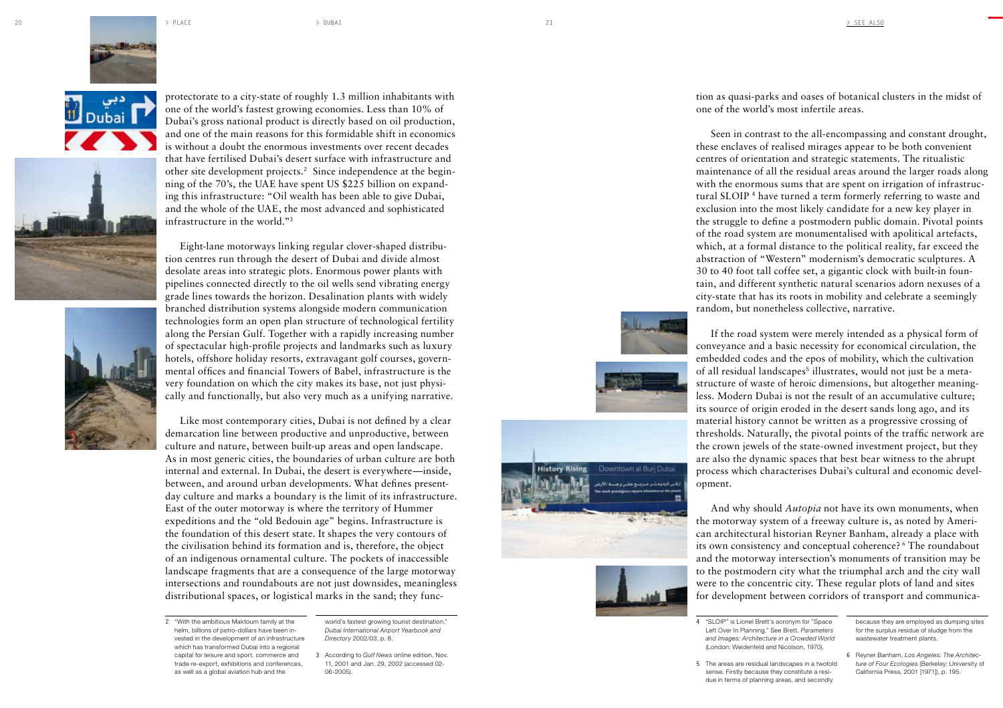







protectorate to a city-state of roughly 1.3 million inhabitants with one of the world's fastest growing economies. Less than 10% of Dubai's gross national product is directly based on oil production, and one of the main reasons for this formidable shift in economics is without a doubt the enormous investments over recent decades that have fertilised Dubai's desert surface with infrastructure and other site development projects. **<sup>2</sup>** Since independence at the begin ning of the 70's, the UAE have spent US \$225 billion on expand ing this infrastructure: "Oil wealth has been able to give Dubai, and the whole of the UAE, the most advanced and sophisticated infrastructure in the world." **3**

Eight-lane motorways linking regular clover-shaped distribu tion centres run through the desert of Dubai and divide almost desolate areas into strategic plots. Enormous power plants with pipelines connected directly to the oil wells send vibrating energy grade lines towards the horizon. Desalination plants with widely branched distribution systems alongside modern communication technologies form an open plan structure of technological fertility along the Persian Gulf. Together with a rapidly increasing number of spectacular high-profile projects and landmarks such as luxury hotels, offshore holiday resorts, extravagant golf courses, govern mental offices and financial Towers of Babel, infrastructure is the very foundation on which the city makes its base, not just physi cally and functionally, but also very much as a unifying narrative.

Like most contemporary cities, Dubai is not defined by a clear demarcation line between productive and unproductive, between culture and nature, between built-up areas and open landscape. As in most generic cities, the boundaries of urban culture are both internal and external. In Dubai, the desert is everywhere—inside, between, and around urban developments. What defines presentday culture and marks a boundary is the limit of its infrastructure. East of the outer motorway is where the territory of Hummer expeditions and the "old Bedouin age" begins. Infrastructure is the foundation of this desert state. It shapes the very contours of the civilisation behind its formation and is, therefore, the object of an indigenous ornamental culture. The pockets of inaccessible landscape fragments that are a consequence of the large motorway intersections and roundabouts are not just downsides, meaningless distributional spaces, or logistical marks in the sand; they func -

**2** "With the ambitious Maktoum family at the helm, billions of petro-dollars have been in vested in the development of an infrastructure which has transformed Dubai into a regional capital for leisure and sport, commerce and trade re-export, exhibitions and conferences, as well as a global aviation hub and the

world's fastest growing tourist destination." *Dubai International Airport Yearbook and Directory* 2002/03, p. 8.

tion as quasi-parks and oases of botanical clusters in the midst of one of the world's most infertile areas.

Seen in contrast to the all-encompassing and constant drought, these enclaves of realised mirages appear to be both convenient centres of orientation and strategic statements. The ritualistic maintenance of all the residual areas around the larger roads along with the enormous sums that are spent on irrigation of infrastruc tural SLOIP **<sup>4</sup>** have turned a term formerly referring to waste and exclusion into the most likely candidate for a new key player in the struggle to define a postmodern public domain. Pivotal points of the road system are monumentalised with apolitical artefacts, which, at a formal distance to the political reality, far exceed the abstraction of "Western" modernism's democratic sculptures. A 30 to 40 foot tall coffee set, a gigantic clock with built-in foun tain, and different synthetic natural scenarios adorn nexuses of a city-state that has its roots in mobility and celebrate a seemingly random, but nonetheless collective, narrative.

If the road system were merely intended as a physical form of conveyance and a basic necessity for economical circulation, the embedded codes and the epos of mobility, which the cultivation of all residual landscapes **5** illustrates, would not just be a metastructure of waste of heroic dimensions, but altogether meaning less. Modern Dubai is not the result of an accumulative culture; its source of origin eroded in the desert sands long ago, and its material history cannot be written as a progressive crossing of thresholds. Naturally, the pivotal points of the traffic network are the crown jewels of the state-owned investment project, but they are also the dynamic spaces that best bear witness to the abrupt process which characterises Dubai's cultural and economic devel opment.

And why should *Autopia* not have its own monuments, when the motorway system of a freeway culture is, as noted by Ameri can architectural historian Reyner Banham, already a place with its own consistency and conceptual coherence? 6 The roundabout and the motorway intersection's monuments of transition may be to the postmodern city what the triumphal arch and the city wall were to the concentric city. These regular plots of land and sites for development between corridors of transport and communica -

**4** "SLOIP" is Lionel Brett's acronym for "Space Left Over In Planning." See Brett, *Parameters and Images: Architecture in a Crowded World* (London: Weidenfeld and Nicolson, 1970).

because they are employed as dumping sites for the surplus residue of sludge from the wastewater treatment plants.

**5** The areas are residual landscapes in a twofold sense. Firstly because they constitute a resi due in terms of planning areas, and secondly

**6** Reyner Banham, *Los Angeles: The Architec ture of Four Ecologies* (Berkeley: University of California Press, 2001 [1971]), p. 195.







**<sup>3</sup>** According to *Gulf News* online edition, Nov. 11, 2001 and Jan. 29, 2002 (accessed 02- 06-2005).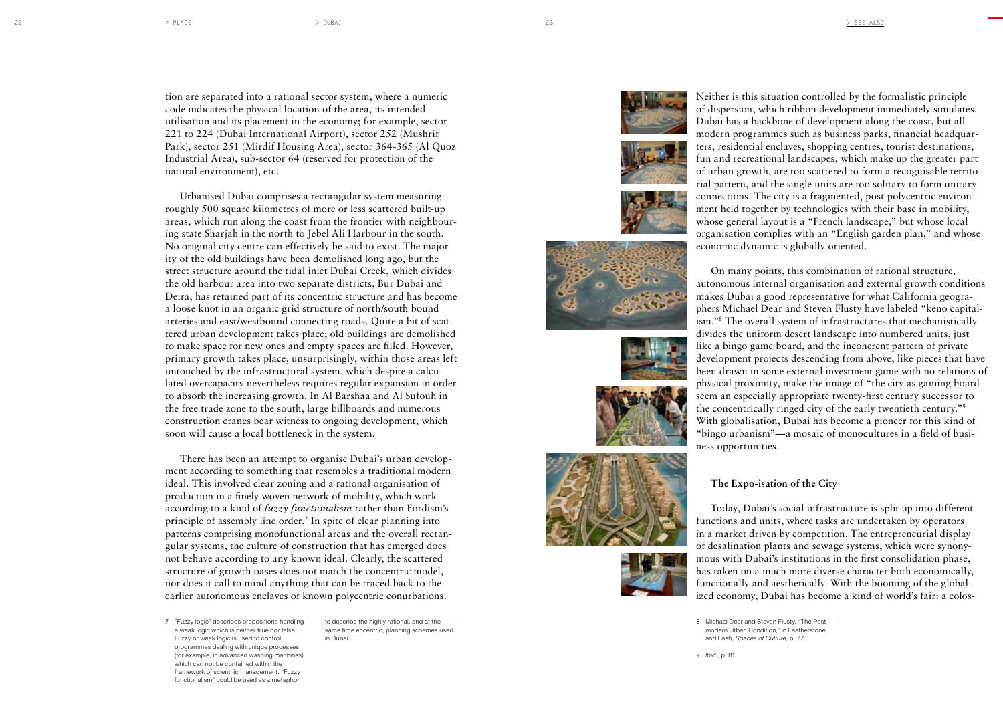tion are separated into a rational sector system, where a numeric code indicates the physical location of the area, its intended utilisation and its placement in the economy; for example, sector 221 to 224 (Dubai International Airport), sector 252 (Mushrif Park), sector 251 (Mirdif Housing Area), sector 364-365 (Al Quoz Industrial Area), sub-sector 64 (reserved for protection of the natural environment), etc.

Urbanised Dubai comprises a rectangular system measuring roughly 500 square kilometres of more or less scattered built-up areas, which run along the coast from the frontier with neighbour ing state Sharjah in the north to Jebel Ali Harbour in the south. No original city centre can effectively be said to exist. The major ity of the old buildings have been demolished long ago, but the street structure around the tidal inlet Dubai Creek, which divides the old harbour area into two separate districts, Bur Dubai and Deira, has retained part of its concentric structure and has become a loose knot in an organic grid structure of north/south bound arteries and east/westbound connecting roads. Quite a bit of scat tered urban development takes place; old buildings are demolished to make space for new ones and empty spaces are filled. However, primary growth takes place, unsurprisingly, within those areas left untouched by the infrastructural system, which despite a calcu lated overcapacity nevertheless requires regular expansion in order to absorb the increasing growth. In Al Barshaa and Al Sufouh in the free trade zone to the south, large billboards and numerous construction cranes bear witness to ongoing development, which soon will cause a local bottleneck in the system.

There has been an attempt to organise Dubai's urban develop ment according to something that resembles a traditional modern ideal. This involved clear zoning and a rational organisation of production in a finely woven network of mobility, which work according to a kind of *fuzzy functionalism* rather than Fordism's principle of assembly line order. **<sup>7</sup>** In spite of clear planning into patterns comprising monofunctional areas and the overall rectan gular systems, the culture of construction that has emerged does not behave according to any known ideal. Clearly, the scattered structure of growth oases does not match the concentric model, nor does it call to mind anything that can be traced back to the earlier autonomous enclaves of known polycentric conurbations.

**7** "Fuzzy logic" describes propositions handling a weak logic which is neither true nor false. Fuzzy or weak logic is used to control programmes dealing with unique processes (for example, in advanced washing machines) which can not be contained within the framework of scientific management. "Fuzzy functionalism" could be used as a metaphor

to describe the highly rational, and at the same time eccentric, planning schemes used in Dubai.

















Neither is this situation controlled by the formalistic principle of dispersion, which ribbon development immediately simulates. Dubai has a backbone of development along the coast, but all modern programmes such as business parks, financial headquar ters, residential enclaves, shopping centres, tourist destinations, fun and recreational landscapes, which make up the greater part of urban growth, are too scattered to form a recognisable territo rial pattern, and the single units are too solitary to form unitary connections. The city is a fragmented, post-polycentric environ ment held together by technologies with their base in mobility, whose general layout is a "French landscape," but whose local organisation complies with an "English garden plan," and whose economic dynamic is globally oriented.

On many points, this combination of rational structure, autonomous internal organisation and external growth conditions makes Dubai a good representative for what California geogra phers Michael Dear and Steven Flusty have labeled "keno capital ism." **<sup>8</sup>** The overall system of infrastructures that mechanistically divides the uniform desert landscape into numbered units, just like a bingo game board, and the incoherent pattern of private development projects descending from above, like pieces that have been drawn in some external investment game with no relations of physical proximity, make the image of "the city as gaming board seem an especially appropriate twenty-first century successor to the concentrically ringed city of the early twentieth century." **9** With globalisation, Dubai has become a pioneer for this kind of "bingo urbanism"—a mosaic of monocultures in a field of busi ness opportunities.

**The Expo-isation of the City** 

Today, Dubai's social infrastructure is split up into different functions and units, where tasks are undertaken by operators in a market driven by competition. The entrepreneurial display of desalination plants and sewage systems, which were synony mous with Dubai's institutions in the first consolidation phase, has taken on a much more diverse character both economically, functionally and aesthetically. With the booming of the global ized economy, Dubai has become a kind of world's fair: a colos -

**9** *Ibid.*, p. 81.

**<sup>8</sup>** Michael Dear and Steven Flusty, "The Post modern Urban Condition," in Featherstone and Lash, *Spaces of Culture*, p. 77.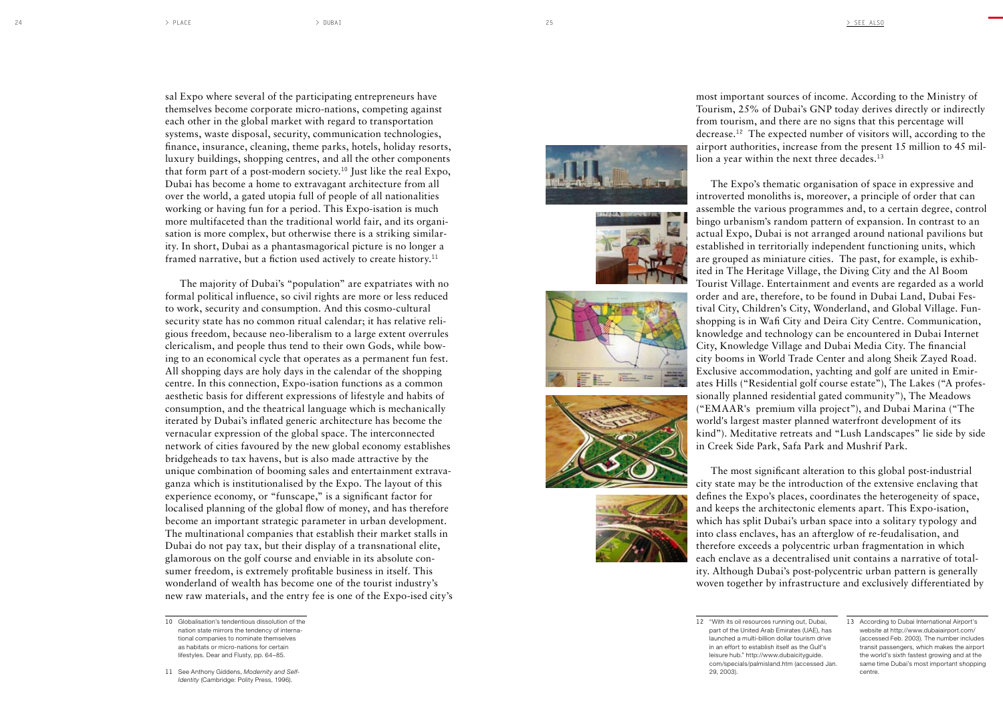sal Expo where several of the participating entrepreneurs have themselves become corporate micro-nations, competing against each other in the global market with regard to transportation systems, waste disposal, security, communication technologies, finance, insurance, cleaning, theme parks, hotels, holiday resorts, luxury buildings, shopping centres, and all the other components that form part of a post-modern society.**10** Just like the real Expo, Dubai has become a home to extravagant architecture from all over the world, a gated utopia full of people of all nationalities working or having fun for a period. This Expo-isation is much more multifaceted than the traditional world fair, and its organi sation is more complex, but otherwise there is a striking similar ity. In short, Dubai as a phantasmagorical picture is no longer a framed narrative, but a fiction used actively to create history.**<sup>11</sup>**

The majority of Dubai's "population" are expatriates with no formal political influence, so civil rights are more or less reduced to work, security and consumption. And this cosmo-cultural security state has no common ritual calendar; it has relative reli gious freedom, because neo-liberalism to a large extent overrules clericalism, and people thus tend to their own Gods, while bow ing to an economical cycle that operates as a permanent fun fest. All shopping days are holy days in the calendar of the shopping centre. In this connection, Expo-isation functions as a common aesthetic basis for different expressions of lifestyle and habits of consumption, and the theatrical language which is mechanically iterated by Dubai's inflated generic architecture has become the vernacular expression of the global space. The interconnected network of cities favoured by the new global economy establishes bridgeheads to tax havens, but is also made attractive by the unique combination of booming sales and entertainment extrava ganza which is institutionalised by the Expo. The layout of this experience economy, or "funscape," is a significant factor for localised planning of the global flow of money, and has therefore become an important strategic parameter in urban development. The multinational companies that establish their market stalls in Dubai do not pay tax, but their display of a transnational elite, glamorous on the golf course and enviable in its absolute con sumer freedom, is extremely profitable business in itself. This wonderland of wealth has become one of the tourist industry's new raw materials, and the entry fee is one of the Expo-ised city's











most important sources of income. According to the Ministry of Tourism, 25% of Dubai's GNP today derives directly or indirectly from tourism, and there are no signs that this percentage will decrease.**12** The expected number of visitors will, according to the airport authorities, increase from the present 15 million to 45 mil lion a year within the next three decades.**<sup>13</sup>**

The Expo's thematic organisation of space in expressive and introverted monoliths is, moreover, a principle of order that can assemble the various programmes and, to a certain degree, control bingo urbanism's random pattern of expansion. In contrast to an actual Expo, Dubai is not arranged around national pavilions but established in territorially independent functioning units, which are grouped as miniature cities. The past, for example, is exhib ited in The Heritage Village, the Diving City and the Al Boom Tourist Village. Entertainment and events are regarded as a world order and are, therefore, to be found in Dubai Land, Dubai Fes tival City, Children's City, Wonderland, and Global Village. Funshopping is in Wafi City and Deira City Centre. Communication, knowledge and technology can be encountered in Dubai Internet City, Knowledge Village and Dubai Media City. The financial city booms in World Trade Center and along Sheik Zayed Road. Exclusive accommodation, yachting and golf are united in Emir ates Hills ("Residential golf course estate"), The Lakes ("A profes sionally planned residential gated community"), The Meadows ("EMAAR's premium villa project"), and Dubai Marina ("The world's largest master planned waterfront development of its kind"). Meditative retreats and "Lush Landscapes" lie side by side in Creek Side Park, Safa Park and Mushrif Park.

The most significant alteration to this global post-industrial city state may be the introduction of the extensive enclaving that defines the Expo's places, coordinates the heterogeneity of space, and keeps the architectonic elements apart. This Expo-isation, which has split Dubai's urban space into a solitary typology and into class enclaves, has an afterglow of re-feudalisation, and therefore exceeds a polycentric urban fragmentation in which each enclave as a decentralised unit contains a narrative of total ity. Although Dubai's post-polycentric urban pattern is generally woven together by infrastructure and exclusively differentiated by

**12** "With its oil resources running out, Dubai, part of the United Arab Emirates (UAE), has launched a multi-billion dollar tourism drive in an effort to establish itself as the Gulf's leisure hub." http://www.dubaicityguide. com/specials/palmisland.htm (accessed Jan. 29, 2003).

**<sup>10</sup>** Globalisation's tendentious dissolution of the nation state mirrors the tendency of interna tional companies to nominate themselves as habitats or micro-nations for certain lifestyles. Dear and Flusty, pp. 64–85.

**<sup>13</sup>** According to Dubai International Airport's website at http://www.dubaiairport.com/ (accessed Feb. 2003). The number includes transit passengers, which makes the airport the world's sixth fastest growing and at the same time Dubai's most important shopping centre.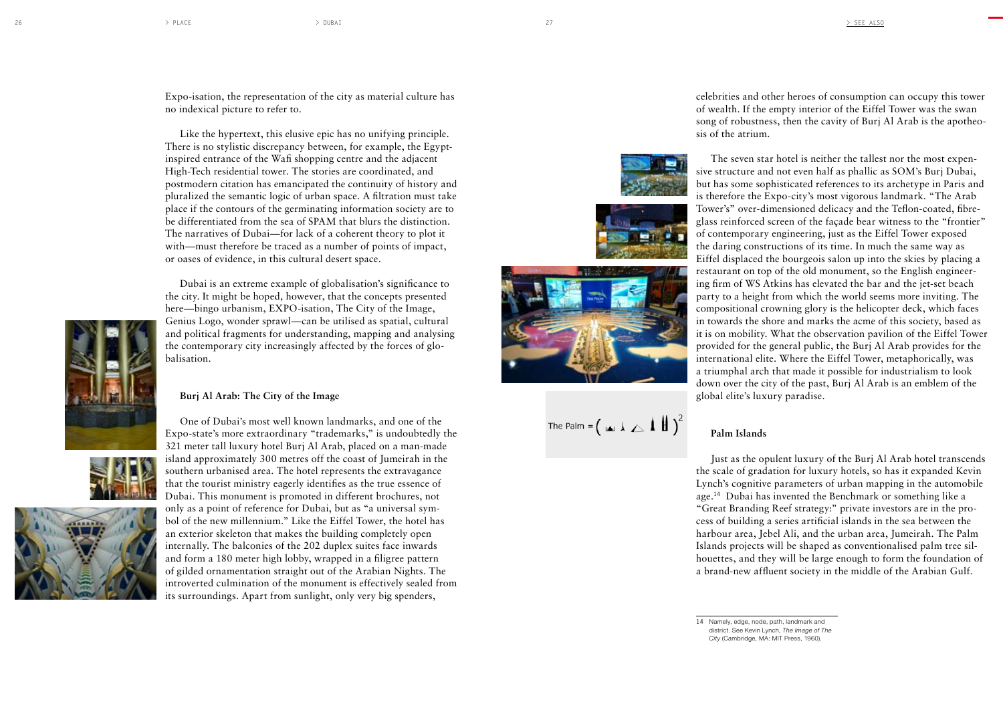Expo-isation, the representation of the city as material culture has no indexical picture to refer to.

Like the hypertext, this elusive epic has no unifying principle. There is no stylistic discrepancy between, for example, the Egyptinspired entrance of the Wafi shopping centre and the adjacent High-Tech residential tower. The stories are coordinated, and postmodern citation has emancipated the continuity of history and pluralized the semantic logic of urban space. A filtration must take place if the contours of the germinating information society are to be differentiated from the sea of SPAM that blurs the distinction. The narratives of Dubai—for lack of a coherent theory to plot it with—must therefore be traced as a number of points of impact, or oases of evidence, in this cultural desert space.

Dubai is an extreme example of globalisation's significance to the city. It might be hoped, however, that the concepts presented here—bingo urbanism, EXPO-isation, The City of the Image, Genius Logo, wonder sprawl—can be utilised as spatial, cultural and political fragments for understanding, mapping and analysing the contemporary city increasingly affected by the forces of glo balisation.

One of Dubai's most well known landmarks, and one of the Expo-state's more extraordinary "trademarks," is undoubtedly the 321 meter tall luxury hotel Burj Al Arab, placed on a man-made island approximately 300 metres off the coast of Jumeirah in the southern urbanised area. The hotel represents the extravagance that the tourist ministry eagerly identifies as the true essence of Dubai. This monument is promoted in different brochures, not only as a point of reference for Dubai, but as "a universal sym bol of the new millennium." Like the Eiffel Tower, the hotel has an exterior skeleton that makes the building completely open internally. The balconies of the 202 duplex suites face inwards and form a 180 meter high lobby, wrapped in a filigree pattern of gilded ornamentation straight out of the Arabian Nights. The introverted culmination of the monument is effectively sealed from its surroundings. Apart from sunlight, only very big spenders,

celebrities and other heroes of consumption can occupy this tower of wealth. If the empty interior of the Eiffel Tower was the swan song of robustness, then the cavity of Burj Al Arab is the apotheo sis of the atrium.

The seven star hotel is neither the tallest nor the most expen sive structure and not even half as phallic as SOM's Burj Dubai, but has some sophisticated references to its archetype in Paris and is therefore the Expo-city's most vigorous landmark. "The Arab Tower's" over-dimensioned delicacy and the Teflon-coated, fibreglass reinforced screen of the façade bear witness to the "frontier" of contemporary engineering, just as the Eiffel Tower exposed the daring constructions of its time. In much the same way as Eiffel displaced the bourgeois salon up into the skies by placing a restaurant on top of the old monument, so the English engineer ing firm of WS Atkins has elevated the bar and the jet-set beach party to a height from which the world seems more inviting. The compositional crowning glory is the helicopter deck, which faces in towards the shore and marks the acme of this society, based as it is on mobility. What the observation pavilion of the Eiffel Tower provided for the general public, the Burj Al Arab provides for the international elite. Where the Eiffel Tower, metaphorically, was a triumphal arch that made it possible for industrialism to look down over the city of the past, Burj Al Arab is an emblem of the global elite's luxury paradise.

# **Palm Islands**

Just as the opulent luxury of the Burj Al Arab hotel transcends the scale of gradation for luxury hotels, so has it expanded Kevin Lynch's cognitive parameters of urban mapping in the automobile age.**14** Dubai has invented the Benchmark or something like a "Great Branding Reef strategy:" private investors are in the pro cess of building a series artificial islands in the sea between the harbour area, Jebel Ali, and the urban area, Jumeirah. The Palm Islands projects will be shaped as conventionalised palm tree sil houettes, and they will be large enough to form the foundation of a brand-new affluent society in the middle of the Arabian Gulf.

**14** Namely, edge, node, path, landmark and district. See Kevin Lynch, *The Image of The City* (Cambridge, MA: MIT Press, 1960).









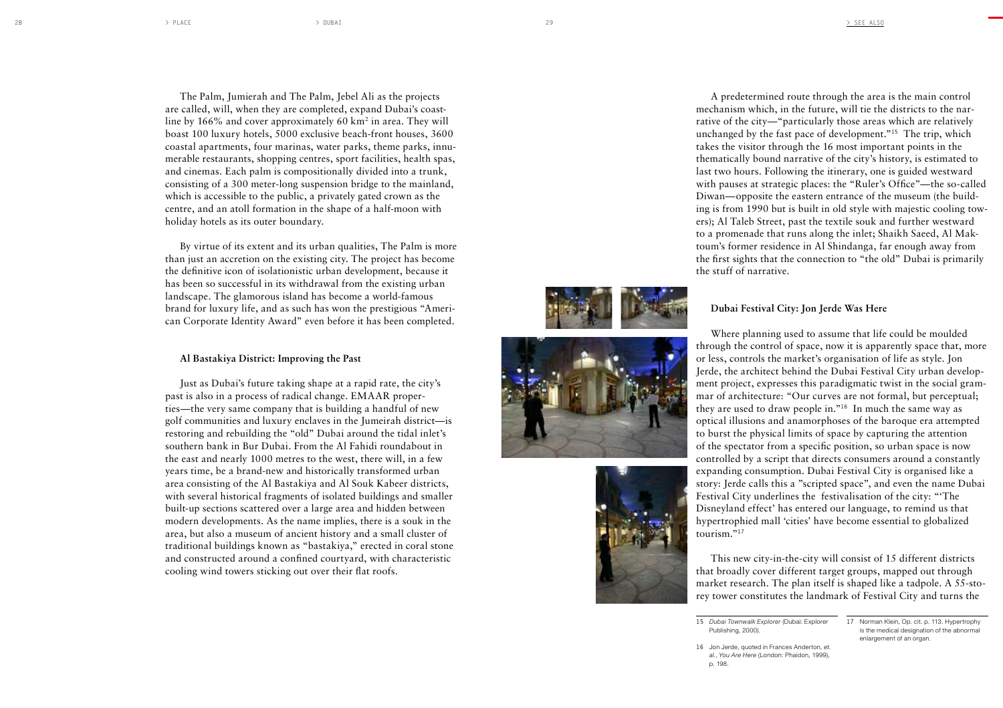The Palm, Jumierah and The Palm, Jebel Ali as the projects are called, will, when they are completed, expand Dubai's coast line by 166% and cover approximately 60 km 2 in area. They will boast 100 luxury hotels, 5000 exclusive beach-front houses, 3600 coastal apartments, four marinas, water parks, theme parks, innu merable restaurants, shopping centres, sport facilities, health spas, and cinemas. Each palm is compositionally divided into a trunk, consisting of a 300 meter-long suspension bridge to the mainland, which is accessible to the public, a privately gated crown as the centre, and an atoll formation in the shape of a half-moon with holiday hotels as its outer boundary.

By virtue of its extent and its urban qualities, The Palm is more than just an accretion on the existing city. The project has become the definitive icon of isolationistic urban development, because it has been so successful in its withdrawal from the existing urban landscape. The glamorous island has become a world-famous brand for luxury life, and as such has won the prestigious "Ameri can Corporate Identity Award" even before it has been completed.

## **Al Bastakiya District: Improving the Past**

Just as Dubai's future taking shape at a rapid rate, the city's past is also in a process of radical change. EMAAR proper ties—the very same company that is building a handful of new golf communities and luxury enclaves in the Jumeirah district—is restoring and rebuilding the "old" Dubai around the tidal inlet's southern bank in Bur Dubai. From the Al Fahidi roundabout in the east and nearly 1000 metres to the west, there will, in a few years time, be a brand-new and historically transformed urban area consisting of the Al Bastakiya and Al Souk Kabeer districts, with several historical fragments of isolated buildings and smaller built-up sections scattered over a large area and hidden between modern developments. As the name implies, there is a souk in the area, but also a museum of ancient history and a small cluster of traditional buildings known as "bastakiya," erected in coral stone and constructed around a confined courtyard, with characteristic cooling wind towers sticking out over their flat roofs.

A predetermined route through the area is the main control mechanism which, in the future, will tie the districts to the nar rative of the city—"particularly those areas which are relatively unchanged by the fast pace of development."**15** The trip, which takes the visitor through the 16 most important points in the thematically bound narrative of the city's history, is estimated to last two hours. Following the itinerary, one is guided westward with pauses at strategic places: the "Ruler's Office"—the so-called Diwan—opposite the eastern entrance of the museum (the build ing is from 1990 but is built in old style with majestic cooling tow ers); Al Taleb Street, past the textile souk and further westward to a promenade that runs along the inlet; Shaikh Saeed, Al Mak toum's former residence in Al Shindanga, far enough away from the first sights that the connection to "the old" Dubai is primarily the stuff of narrative.



Where planning used to assume that life could be moulded through the control of space, now it is apparently space that, more or less, controls the market's organisation of life as style. Jon Jerde, the architect behind the Dubai Festival City urban develop ment project, expresses this paradigmatic twist in the social gram mar of architecture: "Our curves are not formal, but perceptual; they are used to draw people in."**16** In much the same way as optical illusions and anamorphoses of the baroque era attempted to burst the physical limits of space by capturing the attention of the spectator from a specific position, so urban space is now controlled by a script that directs consumers around a constantly expanding consumption. Dubai Festival City is organised like a story: Jerde calls this a "scripted space", and even the name Dubai Festival City underlines the festivalisation of the city: "'The Disneyland effect' has entered our language, to remind us that hypertrophied mall 'cities' have become essential to globalized tourism."**<sup>17</sup>**

This new city-in-the-city will consist of 15 different districts that broadly cover different target groups, mapped out through market research. The plan itself is shaped like a tadpole. A 55-sto rey tower constitutes the landmark of Festival City and turns the

**15** *Dubai Townwalk Explorer* (Dubai: Explorer Publishing, 2000).

```
16 Jon Jerde, quoted in Frances Anderton, et. 
al., You Are Here (London: Phaidon, 1999), 
p. 198.
```
**17** Norman Klein, Op. cit. p. 113. Hypertrophy

is the medical designation of the abnormal enlargement of an organ.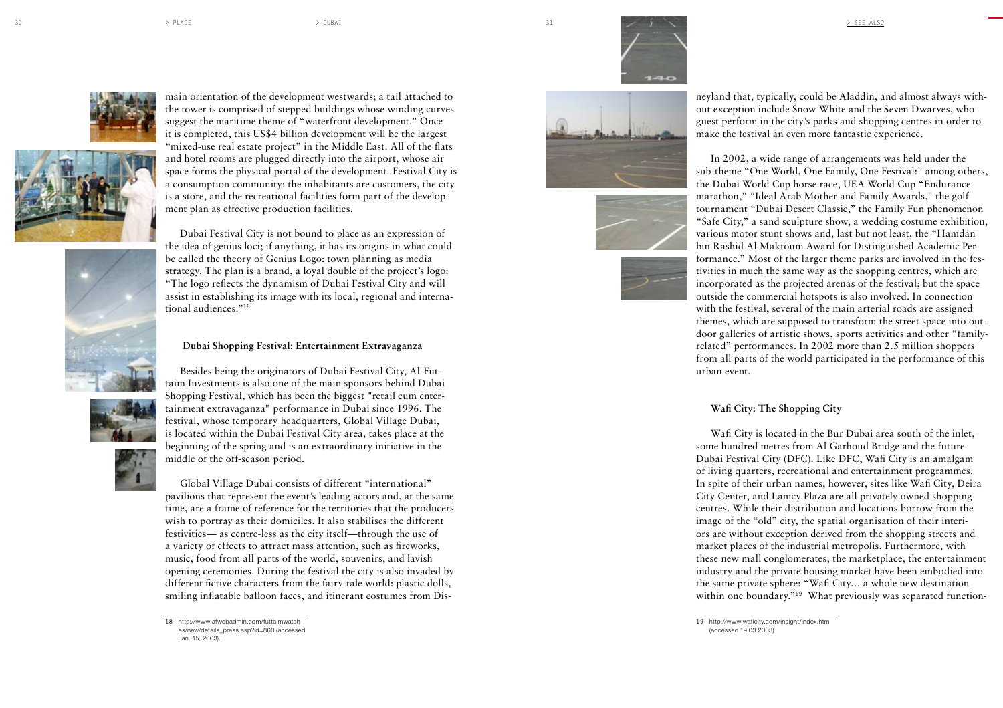







main orientation of the development westwards; a tail attached to the tower is comprised of stepped buildings whose winding curves suggest the maritime theme of "waterfront development." Once it is completed, this US\$4 billion development will be the largest "mixed-use real estate project" in the Middle East. All of the flats and hotel rooms are plugged directly into the airport, whose air space forms the physical portal of the development. Festival City is a consumption community: the inhabitants are customers, the city is a store, and the recreational facilities form part of the develop ment plan as effective production facilities.

Dubai Festival City is not bound to place as an expression of the idea of genius loci; if anything, it has its origins in what could be called the theory of Genius Logo: town planning as media strategy. The plan is a brand, a loyal double of the project's logo: "The logo reflects the dynamism of Dubai Festival City and will assist in establishing its image with its local, regional and interna tional audiences."**<sup>18</sup>**

#### **Dubai Shopping Festival: Entertainment Extravaganza**

Besides being the originators of Dubai Festival City, Al-Fut taim Investments is also one of the main sponsors behind Dubai Shopping Festival, which has been the biggest "retail cum enter tainment extravaganza" performance in Dubai since 1996. The festival, whose temporary headquarters, Global Village Dubai, is located within the Dubai Festival City area, takes place at the beginning of the spring and is an extraordinary initiative in the middle of the off-season period.

Global Village Dubai consists of different "international" pavilions that represent the event's leading actors and, at the same time, are a frame of reference for the territories that the producers wish to portray as their domiciles. It also stabilises the different festivities— as centre-less as the city itself—through the use of a variety of effects to attract mass attention, such as fireworks, music, food from all parts of the world, souvenirs, and lavish opening ceremonies. During the festival the city is also invaded by different fictive characters from the fairy-tale world: plastic dolls, smiling inflatable balloon faces, and itinerant costumes from Dis -







neyland that, typically, could be Aladdin, and almost always with out exception include Snow White and the Seven Dwarves, who guest perform in the city's parks and shopping centres in order to make the festival an even more fantastic experience.

In 2002, a wide range of arrangements was held under the sub-theme "One World, One Family, One Festival:" among others, the Dubai World Cup horse race, UEA World Cup "Endurance marathon," "Ideal Arab Mother and Family Awards," the golf tournament "Dubai Desert Classic," the Family Fun phenomenon "Safe City," a sand sculpture show, a wedding costume exhibition, various motor stunt shows and, last but not least, the "Hamdan bin Rashid Al Maktoum Award for Distinguished Academic Per formance." Most of the larger theme parks are involved in the fes tivities in much the same way as the shopping centres, which are incorporated as the projected arenas of the festival; but the space outside the commercial hotspots is also involved. In connection with the festival, several of the main arterial roads are assigned themes, which are supposed to transform the street space into out door galleries of artistic shows, sports activities and other "familyrelated" performances. In 2002 more than 2.5 million shoppers from all parts of the world participated in the performance of this urban event.

### **Wafi City: The Shopping City**

Wafi City is located in the Bur Dubai area south of the inlet, some hundred metres from Al Garhoud Bridge and the future Dubai Festival City (DFC). Like DFC, Wafi City is an amalgam of living quarters, recreational and entertainment programmes. In spite of their urban names, however, sites like Wafi City, Deira City Center, and Lamcy Plaza are all privately owned shopping centres. While their distribution and locations borrow from the image of the "old" city, the spatial organisation of their interi ors are without exception derived from the shopping streets and market places of the industrial metropolis. Furthermore, with these new mall conglomerates, the marketplace, the entertainment industry and the private housing market have been embodied into the same private sphere: "Wafi City… a whole new destination within one boundary."**19** What previously was separated function -

**<sup>18</sup>** http://www.afwebadmin.com/futtaimwatch es/new/details\_press.asp?id=860 (accessed Jan. 15, 2003).

**<sup>19</sup>** http://www.waficity.com/insight/index.htm (accessed 19.03.2003)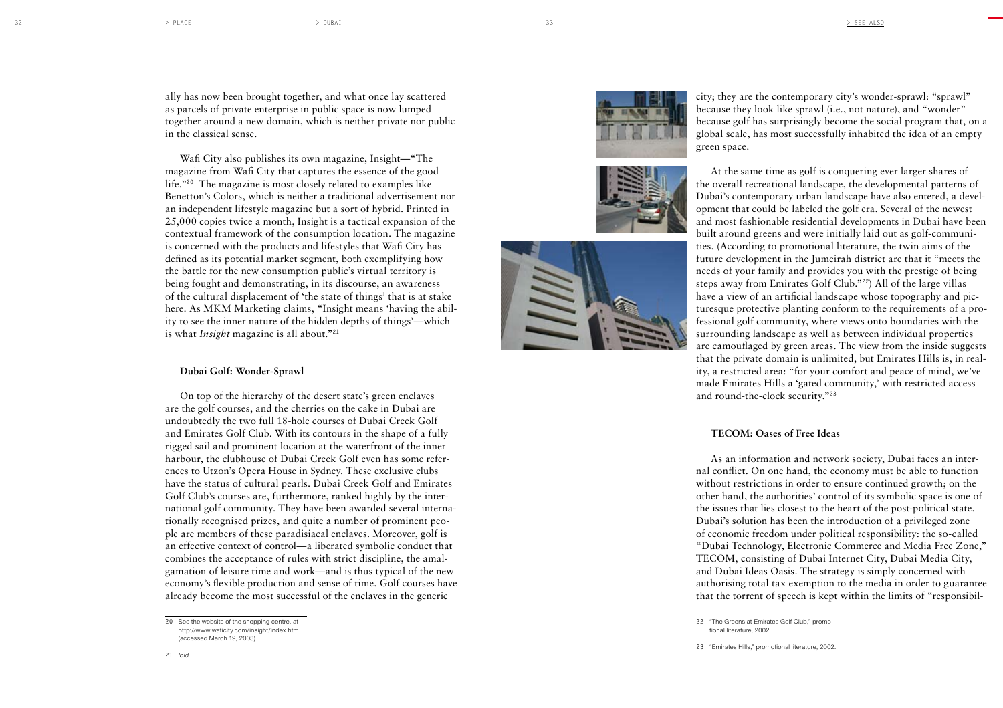ally has now been brought together, and what once lay scattered as parcels of private enterprise in public space is now lumped together around a new domain, which is neither private nor public in the classical sense.

Wafi City also publishes its own magazine, Insight—"The magazine from Wafi City that captures the essence of the good life."**20** The magazine is most closely related to examples like Benetton's Colors, which is neither a traditional advertisement nor an independent lifestyle magazine but a sort of hybrid. Printed in 25,000 copies twice a month, Insight is a tactical expansion of the contextual framework of the consumption location. The magazine is concerned with the products and lifestyles that Wafi City has defined as its potential market segment, both exemplifying how the battle for the new consumption public's virtual territory is being fought and demonstrating, in its discourse, an awareness of the cultural displacement of 'the state of things' that is at stake here. As MKM Marketing claims, "Insight means 'having the abil ity to see the inner nature of the hidden depths of things'—which is what *Insight* magazine is all about."**<sup>21</sup>**

## **Dubai Golf: Wonder-Sprawl**

On top of the hierarchy of the desert state's green enclaves are the golf courses, and the cherries on the cake in Dubai are undoubtedly the two full 18-hole courses of Dubai Creek Golf and Emirates Golf Club. With its contours in the shape of a fully rigged sail and prominent location at the waterfront of the inner harbour, the clubhouse of Dubai Creek Golf even has some refer ences to Utzon's Opera House in Sydney. These exclusive clubs have the status of cultural pearls. Dubai Creek Golf and Emirates Golf Club's courses are, furthermore, ranked highly by the inter national golf community. They have been awarded several interna tionally recognised prizes, and quite a number of prominent peo ple are members of these paradisiacal enclaves. Moreover, golf is an effective context of control—a liberated symbolic conduct that combines the acceptance of rules with strict discipline, the amal gamation of leisure time and work—and is thus typical of the new economy's flexible production and sense of time. Golf courses have already become the most successful of the enclaves in the generic







city; they are the contemporary city's wonder-sprawl: "sprawl" because they look like sprawl (i.e., not nature), and "wonder" because golf has surprisingly become the social program that, on a global scale, has most successfully inhabited the idea of an empty green space.

At the same time as golf is conquering ever larger shares of the overall recreational landscape, the developmental patterns of Dubai's contemporary urban landscape have also entered, a devel opment that could be labeled the golf era. Several of the newest and most fashionable residential developments in Dubai have been built around greens and were initially laid out as golf-communi ties. (According to promotional literature, the twin aims of the future development in the Jumeirah district are that it "meets the needs of your family and provides you with the prestige of being steps away from Emirates Golf Club."**22**) All of the large villas have a view of an artificial landscape whose topography and pic turesque protective planting conform to the requirements of a pro fessional golf community, where views onto boundaries with the surrounding landscape as well as between individual properties are camouflaged by green areas. The view from the inside suggests that the private domain is unlimited, but Emirates Hills is, in real ity, a restricted area: "for your comfort and peace of mind, we've made Emirates Hills a 'gated community,' with restricted access and round-the-clock security."**<sup>23</sup>**

### **TECOM: Oases of Free Ideas**

As an information and network society, Dubai faces an inter nal conflict. On one hand, the economy must be able to function without restrictions in order to ensure continued growth; on the other hand, the authorities' control of its symbolic space is one of the issues that lies closest to the heart of the post-political state. Dubai's solution has been the introduction of a privileged zone of economic freedom under political responsibility: the so-called "Dubai Technology, Electronic Commerce and Media Free Zone," TECOM, consisting of Dubai Internet City, Dubai Media City, and Dubai Ideas Oasis. The strategy is simply concerned with authorising total tax exemption to the media in order to guarantee that the torrent of speech is kept within the limits of "responsibil -

**<sup>20</sup>** See the website of the shopping centre, at http://www.waficity.com/insight/index.htm (accessed March 19, 2003).

**<sup>22</sup>** "The Greens at Emirates Golf Club," promo tional literature, 2002.

**<sup>23</sup>** "Emirates Hills," promotional literature, 2002.